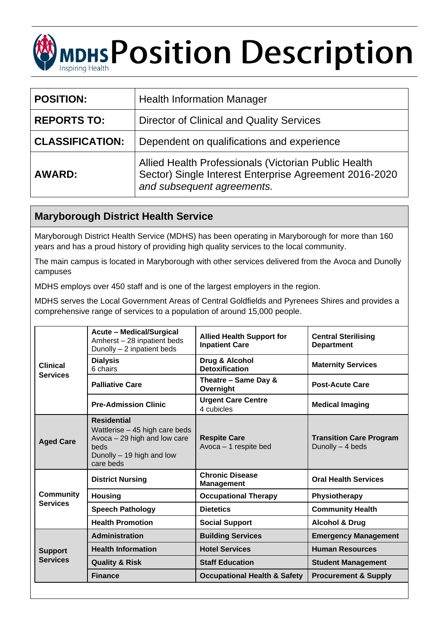# **MDHS POSition Description** Inspiring Health

| <b>POSITION:</b>       | <b>Health Information Manager</b>                                                                                                            |  |
|------------------------|----------------------------------------------------------------------------------------------------------------------------------------------|--|
| <b>REPORTS TO:</b>     | <b>Director of Clinical and Quality Services</b>                                                                                             |  |
| <b>CLASSIFICATION:</b> | Dependent on qualifications and experience                                                                                                   |  |
| <b>AWARD:</b>          | Allied Health Professionals (Victorian Public Health<br>Sector) Single Interest Enterprise Agreement 2016-2020<br>and subsequent agreements. |  |

# **Maryborough District Health Service**

Maryborough District Health Service (MDHS) has been operating in Maryborough for more than 160 years and has a proud history of providing high quality services to the local community.

The main campus is located in Maryborough with other services delivered from the Avoca and Dunolly campuses

MDHS employs over 450 staff and is one of the largest employers in the region.

MDHS serves the Local Government Areas of Central Goldfields and Pyrenees Shires and provides a comprehensive range of services to a population of around 15,000 people.

| <b>Clinical</b><br><b>Services</b>  | <b>Acute - Medical/Surgical</b><br>Amherst - 28 inpatient beds<br>Dunolly $-2$ inpatient beds                                           | <b>Allied Health Support for</b><br><b>Inpatient Care</b> | <b>Central Sterilising</b><br><b>Department</b>    |
|-------------------------------------|-----------------------------------------------------------------------------------------------------------------------------------------|-----------------------------------------------------------|----------------------------------------------------|
|                                     | <b>Dialysis</b><br>6 chairs                                                                                                             | Drug & Alcohol<br><b>Detoxification</b>                   | <b>Maternity Services</b>                          |
|                                     | <b>Palliative Care</b>                                                                                                                  | Theatre - Same Day &<br>Overnight                         | <b>Post-Acute Care</b>                             |
|                                     | <b>Pre-Admission Clinic</b>                                                                                                             | <b>Urgent Care Centre</b><br>4 cubicles                   | <b>Medical Imaging</b>                             |
| <b>Aged Care</b>                    | <b>Residential</b><br>Wattlerise - 45 high care beds<br>Avoca $-29$ high and low care<br>beds<br>Dunolly - 19 high and low<br>care beds | <b>Respite Care</b><br>Avoca - 1 respite bed              | <b>Transition Care Program</b><br>Dunolly - 4 beds |
| <b>Community</b><br><b>Services</b> | <b>District Nursing</b>                                                                                                                 | <b>Chronic Disease</b><br><b>Management</b>               | <b>Oral Health Services</b>                        |
|                                     | <b>Housing</b>                                                                                                                          | <b>Occupational Therapy</b>                               | Physiotherapy                                      |
|                                     | <b>Speech Pathology</b>                                                                                                                 | <b>Dietetics</b>                                          | <b>Community Health</b>                            |
|                                     | <b>Health Promotion</b>                                                                                                                 | <b>Social Support</b>                                     | <b>Alcohol &amp; Drug</b>                          |
| <b>Support</b><br><b>Services</b>   | <b>Administration</b>                                                                                                                   | <b>Building Services</b>                                  | <b>Emergency Management</b>                        |
|                                     | <b>Health Information</b>                                                                                                               | <b>Hotel Services</b>                                     | <b>Human Resources</b>                             |
|                                     | <b>Quality &amp; Risk</b>                                                                                                               | <b>Staff Education</b>                                    | <b>Student Management</b>                          |
|                                     | <b>Finance</b>                                                                                                                          | <b>Occupational Health &amp; Safety</b>                   | <b>Procurement &amp; Supply</b>                    |
|                                     |                                                                                                                                         |                                                           |                                                    |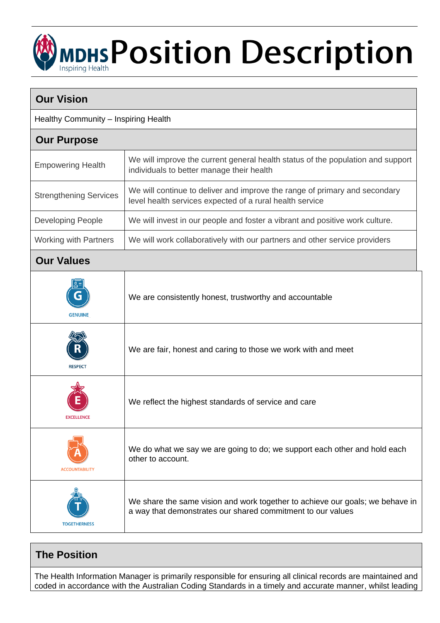# **MDHS Position Description**

| <b>Our Vision</b>                    |                                                                                                                                              |  |
|--------------------------------------|----------------------------------------------------------------------------------------------------------------------------------------------|--|
| Healthy Community - Inspiring Health |                                                                                                                                              |  |
| <b>Our Purpose</b>                   |                                                                                                                                              |  |
| <b>Empowering Health</b>             | We will improve the current general health status of the population and support<br>individuals to better manage their health                 |  |
| <b>Strengthening Services</b>        | We will continue to deliver and improve the range of primary and secondary<br>level health services expected of a rural health service       |  |
| <b>Developing People</b>             | We will invest in our people and foster a vibrant and positive work culture.                                                                 |  |
| <b>Working with Partners</b>         | We will work collaboratively with our partners and other service providers                                                                   |  |
| <b>Our Values</b>                    |                                                                                                                                              |  |
| <b>GENUINE</b>                       | We are consistently honest, trustworthy and accountable                                                                                      |  |
| <b>RESPECT</b>                       | We are fair, honest and caring to those we work with and meet                                                                                |  |
| <b>EXCELLENCE</b>                    | We reflect the highest standards of service and care                                                                                         |  |
| <b>ACCOUNTABILITY</b>                | We do what we say we are going to do; we support each other and hold each<br>other to account.                                               |  |
| <b>TOGETHERNESS</b>                  | We share the same vision and work together to achieve our goals; we behave in<br>a way that demonstrates our shared commitment to our values |  |

# **The Position**

The Health Information Manager is primarily responsible for ensuring all clinical records are maintained and coded in accordance with the Australian Coding Standards in a timely and accurate manner, whilst leading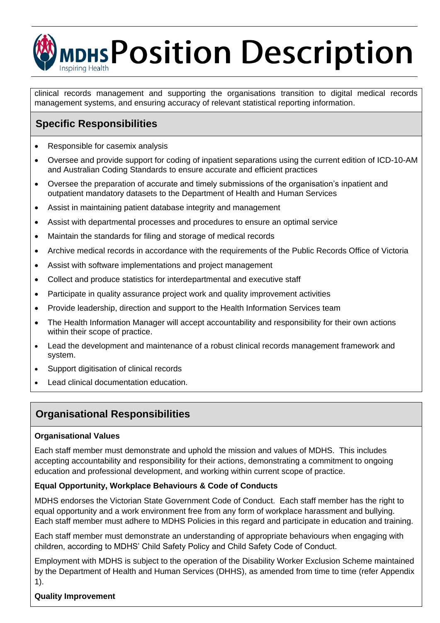# **MDHS POSition Description** Inspiring Health

clinical records management and supporting the organisations transition to digital medical records management systems, and ensuring accuracy of relevant statistical reporting information.

# **Specific Responsibilities**

- Responsible for casemix analysis
- Oversee and provide support for coding of inpatient separations using the current edition of ICD-10-AM and Australian Coding Standards to ensure accurate and efficient practices
- Oversee the preparation of accurate and timely submissions of the organisation's inpatient and outpatient mandatory datasets to the Department of Health and Human Services
- Assist in maintaining patient database integrity and management
- Assist with departmental processes and procedures to ensure an optimal service
- Maintain the standards for filing and storage of medical records
- Archive medical records in accordance with the requirements of the Public Records Office of Victoria
- Assist with software implementations and project management
- Collect and produce statistics for interdepartmental and executive staff
- Participate in quality assurance project work and quality improvement activities
- Provide leadership, direction and support to the Health Information Services team
- The Health Information Manager will accept accountability and responsibility for their own actions within their scope of practice.
- Lead the development and maintenance of a robust clinical records management framework and system.
- Support digitisation of clinical records
- Lead clinical documentation education.

## **Organisational Responsibilities**

#### **Organisational Values**

Each staff member must demonstrate and uphold the mission and values of MDHS. This includes accepting accountability and responsibility for their actions, demonstrating a commitment to ongoing education and professional development, and working within current scope of practice.

#### **Equal Opportunity, Workplace Behaviours & Code of Conducts**

MDHS endorses the Victorian State Government Code of Conduct. Each staff member has the right to equal opportunity and a work environment free from any form of workplace harassment and bullying. Each staff member must adhere to MDHS Policies in this regard and participate in education and training.

Each staff member must demonstrate an understanding of appropriate behaviours when engaging with children, according to MDHS' Child Safety Policy and Child Safety Code of Conduct.

Employment with MDHS is subject to the operation of the Disability Worker Exclusion Scheme maintained by the Department of Health and Human Services (DHHS), as amended from time to time (refer Appendix 1).

#### **Quality Improvement**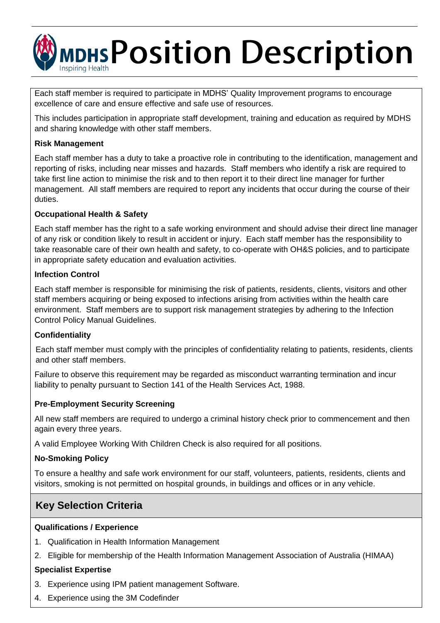

Each staff member is required to participate in MDHS' Quality Improvement programs to encourage excellence of care and ensure effective and safe use of resources.

This includes participation in appropriate staff development, training and education as required by MDHS and sharing knowledge with other staff members.

#### **Risk Management**

Each staff member has a duty to take a proactive role in contributing to the identification, management and reporting of risks, including near misses and hazards. Staff members who identify a risk are required to take first line action to minimise the risk and to then report it to their direct line manager for further management. All staff members are required to report any incidents that occur during the course of their duties.

#### **Occupational Health & Safety**

Each staff member has the right to a safe working environment and should advise their direct line manager of any risk or condition likely to result in accident or injury. Each staff member has the responsibility to take reasonable care of their own health and safety, to co-operate with OH&S policies, and to participate in appropriate safety education and evaluation activities.

#### **Infection Control**

Each staff member is responsible for minimising the risk of patients, residents, clients, visitors and other staff members acquiring or being exposed to infections arising from activities within the health care environment. Staff members are to support risk management strategies by adhering to the Infection Control Policy Manual Guidelines.

#### **Confidentiality**

Each staff member must comply with the principles of confidentiality relating to patients, residents, clients and other staff members.

Failure to observe this requirement may be regarded as misconduct warranting termination and incur liability to penalty pursuant to Section 141 of the Health Services Act, 1988.

#### **Pre-Employment Security Screening**

All new staff members are required to undergo a criminal history check prior to commencement and then again every three years.

A valid Employee Working With Children Check is also required for all positions.

#### **No-Smoking Policy**

To ensure a healthy and safe work environment for our staff, volunteers, patients, residents, clients and visitors, smoking is not permitted on hospital grounds, in buildings and offices or in any vehicle.

## **Key Selection Criteria**

#### **Qualifications / Experience**

- 1. Qualification in Health Information Management
- 2. Eligible for membership of the Health Information Management Association of Australia (HIMAA)

#### **Specialist Expertise**

- 3. Experience using IPM patient management Software.
- 4. Experience using the 3M Codefinder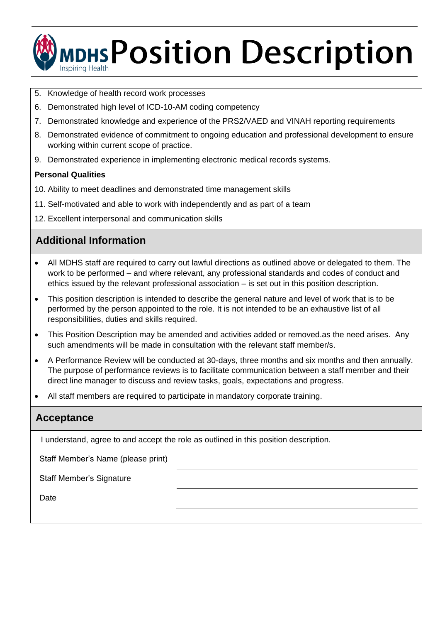

- 5. Knowledge of health record work processes
- 6. Demonstrated high level of ICD-10-AM coding competency
- 7. Demonstrated knowledge and experience of the PRS2/VAED and VINAH reporting requirements
- 8. Demonstrated evidence of commitment to ongoing education and professional development to ensure working within current scope of practice.
- 9. Demonstrated experience in implementing electronic medical records systems.

#### **Personal Qualities**

- 10. Ability to meet deadlines and demonstrated time management skills
- 11. Self-motivated and able to work with independently and as part of a team
- 12. Excellent interpersonal and communication skills

# **Additional Information**

- All MDHS staff are required to carry out lawful directions as outlined above or delegated to them. The work to be performed – and where relevant, any professional standards and codes of conduct and ethics issued by the relevant professional association – is set out in this position description.
- This position description is intended to describe the general nature and level of work that is to be performed by the person appointed to the role. It is not intended to be an exhaustive list of all responsibilities, duties and skills required.
- This Position Description may be amended and activities added or removed.as the need arises. Any such amendments will be made in consultation with the relevant staff member/s.
- A Performance Review will be conducted at 30-days, three months and six months and then annually. The purpose of performance reviews is to facilitate communication between a staff member and their direct line manager to discuss and review tasks, goals, expectations and progress.
- All staff members are required to participate in mandatory corporate training.

### **Acceptance**

I understand, agree to and accept the role as outlined in this position description.

Staff Member's Name (please print)

Staff Member's Signature

Date